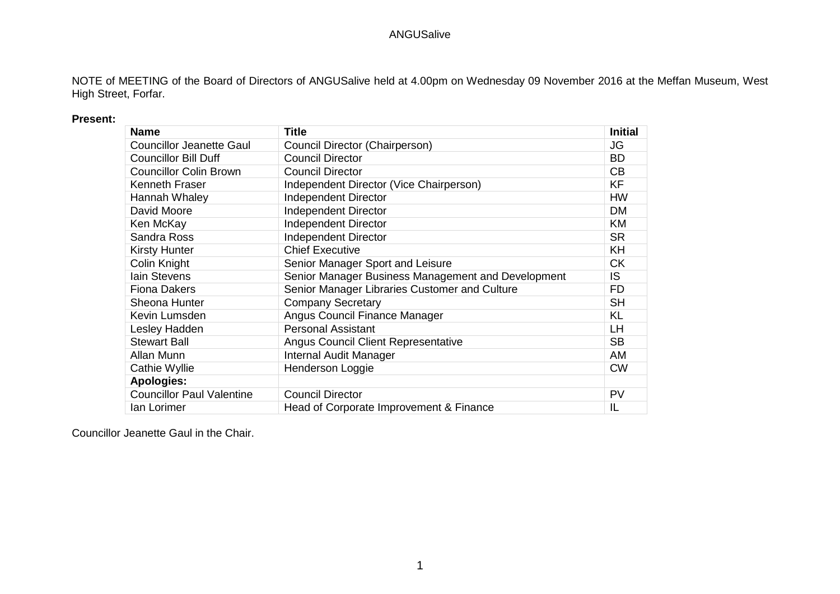NOTE of MEETING of the Board of Directors of ANGUSalive held at 4.00pm on Wednesday 09 November 2016 at the Meffan Museum, West High Street, Forfar.

#### **Present:**

| <b>Name</b>                      | <b>Title</b>                                       | <b>Initial</b> |
|----------------------------------|----------------------------------------------------|----------------|
| <b>Councillor Jeanette Gaul</b>  | Council Director (Chairperson)                     | JG             |
| <b>Councillor Bill Duff</b>      | <b>Council Director</b>                            | <b>BD</b>      |
| <b>Councillor Colin Brown</b>    | <b>Council Director</b>                            | CB             |
| Kenneth Fraser                   | Independent Director (Vice Chairperson)            | KF             |
| Hannah Whaley                    | <b>Independent Director</b>                        | <b>HW</b>      |
| David Moore                      | <b>Independent Director</b>                        | <b>DM</b>      |
| Ken McKay                        | <b>Independent Director</b>                        | <b>KM</b>      |
| Sandra Ross                      | <b>Independent Director</b>                        | <b>SR</b>      |
| <b>Kirsty Hunter</b>             | <b>Chief Executive</b>                             | KH             |
| Colin Knight                     | Senior Manager Sport and Leisure                   | <b>CK</b>      |
| lain Stevens                     | Senior Manager Business Management and Development | IS             |
| <b>Fiona Dakers</b>              | Senior Manager Libraries Customer and Culture      | <b>FD</b>      |
| Sheona Hunter                    | <b>Company Secretary</b>                           | <b>SH</b>      |
| Kevin Lumsden                    | Angus Council Finance Manager                      | <b>KL</b>      |
| Lesley Hadden                    | <b>Personal Assistant</b>                          | <b>LH</b>      |
| <b>Stewart Ball</b>              | <b>Angus Council Client Representative</b>         | <b>SB</b>      |
| Allan Munn                       | <b>Internal Audit Manager</b>                      | AM             |
| Cathie Wyllie                    | Henderson Loggie                                   | <b>CW</b>      |
| <b>Apologies:</b>                |                                                    |                |
| <b>Councillor Paul Valentine</b> | <b>Council Director</b>                            | PV             |
| lan Lorimer                      | Head of Corporate Improvement & Finance            | IL             |

Councillor Jeanette Gaul in the Chair.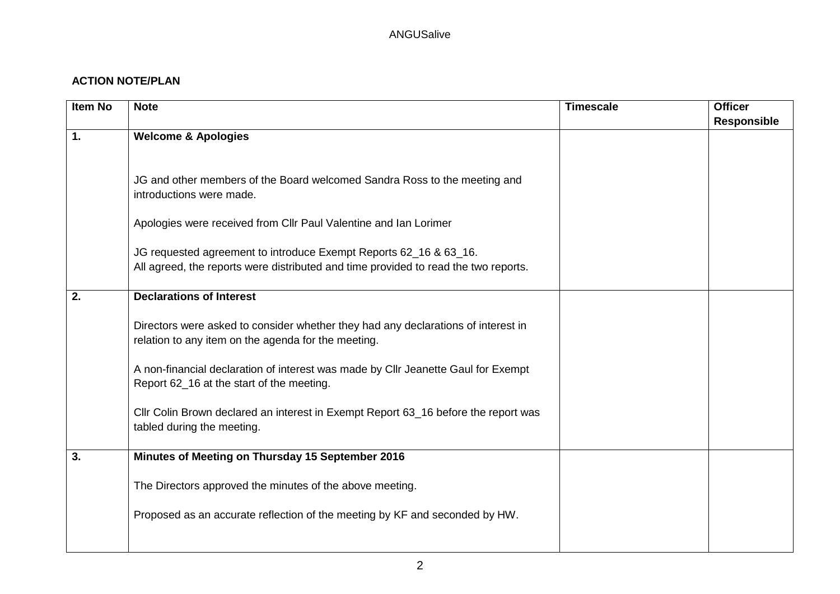# **ACTION NOTE/PLAN**

| Item No       | <b>Note</b>                                                                         | <b>Timescale</b> | <b>Officer</b>     |
|---------------|-------------------------------------------------------------------------------------|------------------|--------------------|
|               |                                                                                     |                  | <b>Responsible</b> |
| $\mathbf 1$ . | <b>Welcome &amp; Apologies</b>                                                      |                  |                    |
|               |                                                                                     |                  |                    |
|               |                                                                                     |                  |                    |
|               | JG and other members of the Board welcomed Sandra Ross to the meeting and           |                  |                    |
|               | introductions were made.                                                            |                  |                    |
|               | Apologies were received from Cllr Paul Valentine and Ian Lorimer                    |                  |                    |
|               |                                                                                     |                  |                    |
|               | JG requested agreement to introduce Exempt Reports 62_16 & 63_16.                   |                  |                    |
|               | All agreed, the reports were distributed and time provided to read the two reports. |                  |                    |
|               |                                                                                     |                  |                    |
| 2.            | <b>Declarations of Interest</b>                                                     |                  |                    |
|               |                                                                                     |                  |                    |
|               | Directors were asked to consider whether they had any declarations of interest in   |                  |                    |
|               | relation to any item on the agenda for the meeting.                                 |                  |                    |
|               | A non-financial declaration of interest was made by Cllr Jeanette Gaul for Exempt   |                  |                    |
|               | Report 62_16 at the start of the meeting.                                           |                  |                    |
|               |                                                                                     |                  |                    |
|               | Cllr Colin Brown declared an interest in Exempt Report 63_16 before the report was  |                  |                    |
|               | tabled during the meeting.                                                          |                  |                    |
|               |                                                                                     |                  |                    |
| 3.            | Minutes of Meeting on Thursday 15 September 2016                                    |                  |                    |
|               |                                                                                     |                  |                    |
|               | The Directors approved the minutes of the above meeting.                            |                  |                    |
|               |                                                                                     |                  |                    |
|               | Proposed as an accurate reflection of the meeting by KF and seconded by HW.         |                  |                    |
|               |                                                                                     |                  |                    |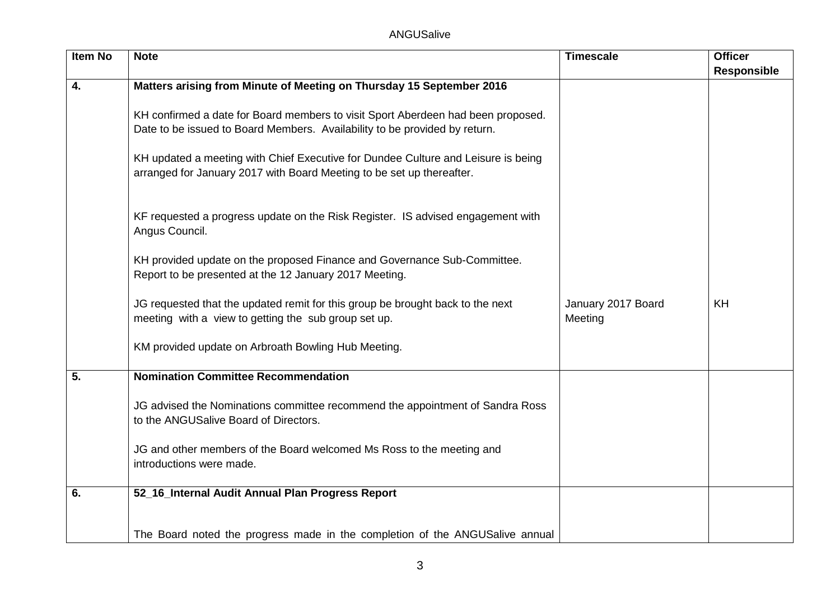| <b>Item No</b>   | <b>Note</b>                                                                       | <b>Timescale</b>   | <b>Officer</b> |
|------------------|-----------------------------------------------------------------------------------|--------------------|----------------|
|                  |                                                                                   |                    | Responsible    |
| 4.               | Matters arising from Minute of Meeting on Thursday 15 September 2016              |                    |                |
|                  |                                                                                   |                    |                |
|                  | KH confirmed a date for Board members to visit Sport Aberdeen had been proposed.  |                    |                |
|                  | Date to be issued to Board Members. Availability to be provided by return.        |                    |                |
|                  |                                                                                   |                    |                |
|                  | KH updated a meeting with Chief Executive for Dundee Culture and Leisure is being |                    |                |
|                  | arranged for January 2017 with Board Meeting to be set up thereafter.             |                    |                |
|                  |                                                                                   |                    |                |
|                  |                                                                                   |                    |                |
|                  | KF requested a progress update on the Risk Register. IS advised engagement with   |                    |                |
|                  | Angus Council.                                                                    |                    |                |
|                  |                                                                                   |                    |                |
|                  | KH provided update on the proposed Finance and Governance Sub-Committee.          |                    |                |
|                  | Report to be presented at the 12 January 2017 Meeting.                            |                    |                |
|                  |                                                                                   |                    |                |
|                  | JG requested that the updated remit for this group be brought back to the next    | January 2017 Board | KH             |
|                  | meeting with a view to getting the sub group set up.                              | Meeting            |                |
|                  |                                                                                   |                    |                |
|                  | KM provided update on Arbroath Bowling Hub Meeting.                               |                    |                |
| $\overline{5}$ . | <b>Nomination Committee Recommendation</b>                                        |                    |                |
|                  |                                                                                   |                    |                |
|                  | JG advised the Nominations committee recommend the appointment of Sandra Ross     |                    |                |
|                  | to the ANGUSalive Board of Directors.                                             |                    |                |
|                  |                                                                                   |                    |                |
|                  | JG and other members of the Board welcomed Ms Ross to the meeting and             |                    |                |
|                  | introductions were made.                                                          |                    |                |
|                  |                                                                                   |                    |                |
| 6.               | 52_16_Internal Audit Annual Plan Progress Report                                  |                    |                |
|                  |                                                                                   |                    |                |
|                  |                                                                                   |                    |                |
|                  | The Board noted the progress made in the completion of the ANGUSalive annual      |                    |                |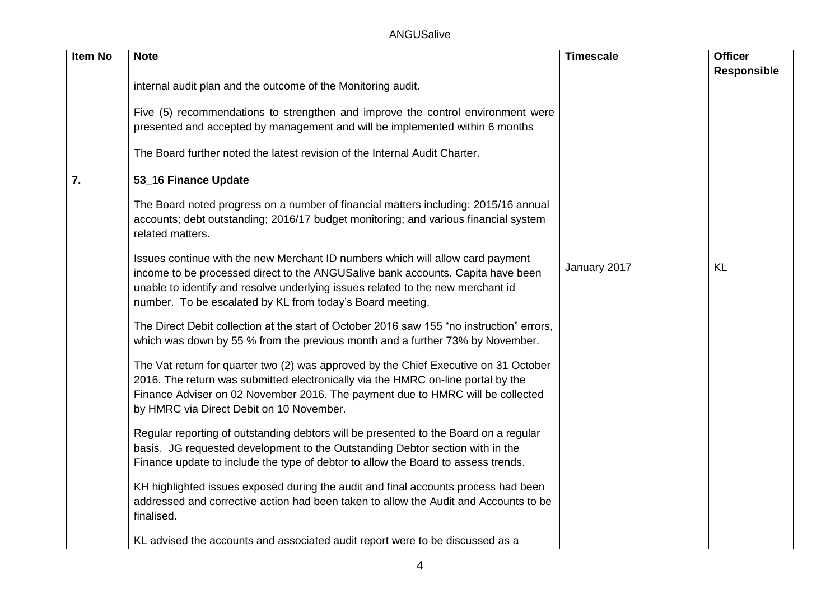| <b>Item No</b>   | <b>Note</b>                                                                                                                                                                                                                                                                                                       | <b>Timescale</b> | <b>Officer</b>     |
|------------------|-------------------------------------------------------------------------------------------------------------------------------------------------------------------------------------------------------------------------------------------------------------------------------------------------------------------|------------------|--------------------|
|                  |                                                                                                                                                                                                                                                                                                                   |                  | <b>Responsible</b> |
|                  | internal audit plan and the outcome of the Monitoring audit.                                                                                                                                                                                                                                                      |                  |                    |
|                  | Five (5) recommendations to strengthen and improve the control environment were<br>presented and accepted by management and will be implemented within 6 months                                                                                                                                                   |                  |                    |
|                  | The Board further noted the latest revision of the Internal Audit Charter.                                                                                                                                                                                                                                        |                  |                    |
| $\overline{7}$ . | 53_16 Finance Update                                                                                                                                                                                                                                                                                              |                  |                    |
|                  | The Board noted progress on a number of financial matters including: 2015/16 annual<br>accounts; debt outstanding; 2016/17 budget monitoring; and various financial system<br>related matters.                                                                                                                    |                  |                    |
|                  | Issues continue with the new Merchant ID numbers which will allow card payment<br>income to be processed direct to the ANGUSalive bank accounts. Capita have been<br>unable to identify and resolve underlying issues related to the new merchant id<br>number. To be escalated by KL from today's Board meeting. | January 2017     | <b>KL</b>          |
|                  | The Direct Debit collection at the start of October 2016 saw 155 "no instruction" errors,<br>which was down by 55 % from the previous month and a further 73% by November.                                                                                                                                        |                  |                    |
|                  | The Vat return for quarter two (2) was approved by the Chief Executive on 31 October<br>2016. The return was submitted electronically via the HMRC on-line portal by the<br>Finance Adviser on 02 November 2016. The payment due to HMRC will be collected<br>by HMRC via Direct Debit on 10 November.            |                  |                    |
|                  | Regular reporting of outstanding debtors will be presented to the Board on a regular<br>basis. JG requested development to the Outstanding Debtor section with in the<br>Finance update to include the type of debtor to allow the Board to assess trends.                                                        |                  |                    |
|                  | KH highlighted issues exposed during the audit and final accounts process had been<br>addressed and corrective action had been taken to allow the Audit and Accounts to be<br>finalised.                                                                                                                          |                  |                    |
|                  | KL advised the accounts and associated audit report were to be discussed as a                                                                                                                                                                                                                                     |                  |                    |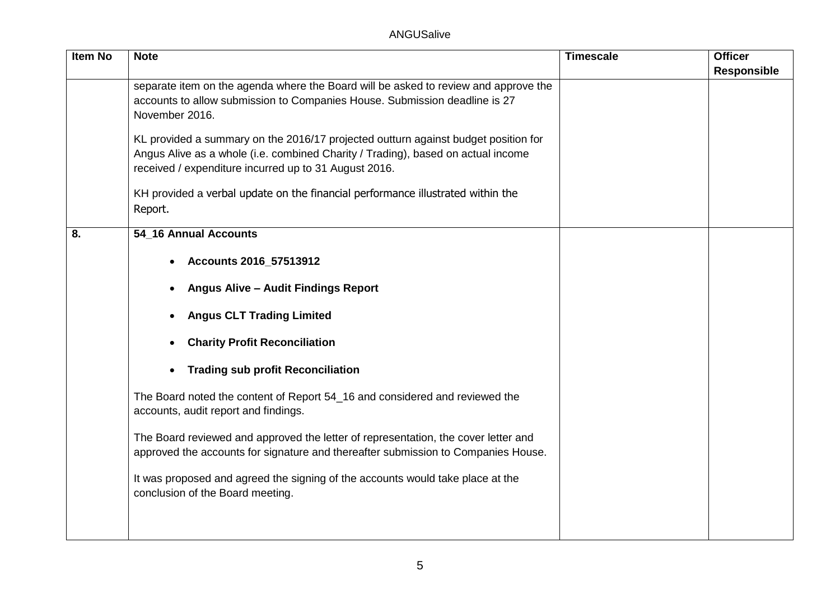| Item No | <b>Note</b>                                                                                                                                                                                                                     | <b>Timescale</b> | <b>Officer</b>     |
|---------|---------------------------------------------------------------------------------------------------------------------------------------------------------------------------------------------------------------------------------|------------------|--------------------|
|         |                                                                                                                                                                                                                                 |                  | <b>Responsible</b> |
|         | separate item on the agenda where the Board will be asked to review and approve the<br>accounts to allow submission to Companies House. Submission deadline is 27<br>November 2016.                                             |                  |                    |
|         | KL provided a summary on the 2016/17 projected outturn against budget position for<br>Angus Alive as a whole (i.e. combined Charity / Trading), based on actual income<br>received / expenditure incurred up to 31 August 2016. |                  |                    |
|         | KH provided a verbal update on the financial performance illustrated within the<br>Report.                                                                                                                                      |                  |                    |
| 8.      | 54_16 Annual Accounts                                                                                                                                                                                                           |                  |                    |
|         | Accounts 2016_57513912                                                                                                                                                                                                          |                  |                    |
|         | <b>Angus Alive - Audit Findings Report</b>                                                                                                                                                                                      |                  |                    |
|         | <b>Angus CLT Trading Limited</b>                                                                                                                                                                                                |                  |                    |
|         | <b>Charity Profit Reconciliation</b>                                                                                                                                                                                            |                  |                    |
|         | <b>Trading sub profit Reconciliation</b>                                                                                                                                                                                        |                  |                    |
|         | The Board noted the content of Report 54_16 and considered and reviewed the<br>accounts, audit report and findings.                                                                                                             |                  |                    |
|         | The Board reviewed and approved the letter of representation, the cover letter and<br>approved the accounts for signature and thereafter submission to Companies House.                                                         |                  |                    |
|         | It was proposed and agreed the signing of the accounts would take place at the<br>conclusion of the Board meeting.                                                                                                              |                  |                    |
|         |                                                                                                                                                                                                                                 |                  |                    |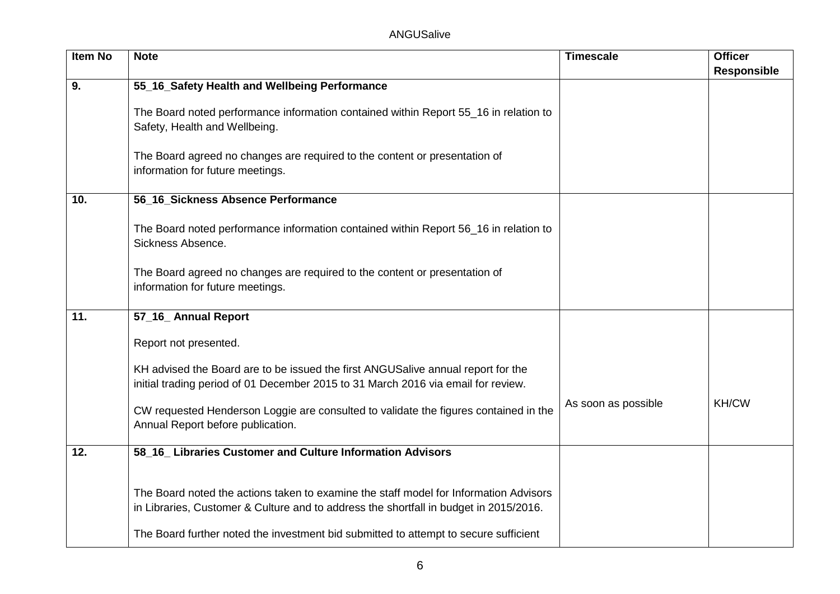| <b>Item No</b> | <b>Note</b>                                                                                                                                                                                                                                                            | <b>Timescale</b>    | <b>Officer</b>     |
|----------------|------------------------------------------------------------------------------------------------------------------------------------------------------------------------------------------------------------------------------------------------------------------------|---------------------|--------------------|
|                |                                                                                                                                                                                                                                                                        |                     | <b>Responsible</b> |
| 9.             | 55_16_Safety Health and Wellbeing Performance                                                                                                                                                                                                                          |                     |                    |
|                | The Board noted performance information contained within Report 55_16 in relation to<br>Safety, Health and Wellbeing.                                                                                                                                                  |                     |                    |
|                | The Board agreed no changes are required to the content or presentation of<br>information for future meetings.                                                                                                                                                         |                     |                    |
| 10.            | 56_16_Sickness Absence Performance                                                                                                                                                                                                                                     |                     |                    |
|                | The Board noted performance information contained within Report 56_16 in relation to<br>Sickness Absence.                                                                                                                                                              |                     |                    |
|                | The Board agreed no changes are required to the content or presentation of<br>information for future meetings.                                                                                                                                                         |                     |                    |
| 11.            | 57_16_ Annual Report                                                                                                                                                                                                                                                   |                     |                    |
|                | Report not presented.                                                                                                                                                                                                                                                  |                     |                    |
|                | KH advised the Board are to be issued the first ANGUSalive annual report for the<br>initial trading period of 01 December 2015 to 31 March 2016 via email for review.                                                                                                  |                     |                    |
|                | CW requested Henderson Loggie are consulted to validate the figures contained in the<br>Annual Report before publication.                                                                                                                                              | As soon as possible | <b>KH/CW</b>       |
| 12.            | 58_16_ Libraries Customer and Culture Information Advisors                                                                                                                                                                                                             |                     |                    |
|                | The Board noted the actions taken to examine the staff model for Information Advisors<br>in Libraries, Customer & Culture and to address the shortfall in budget in 2015/2016.<br>The Board further noted the investment bid submitted to attempt to secure sufficient |                     |                    |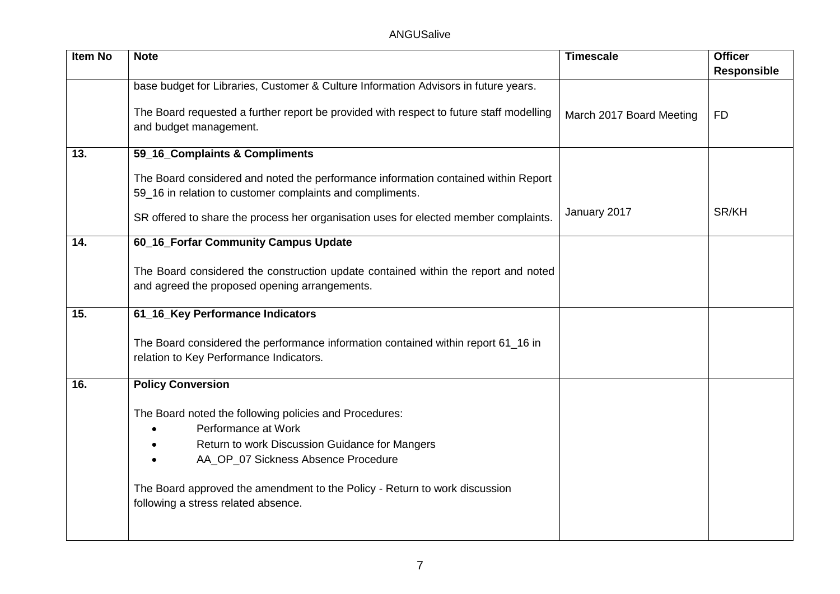| <b>Item No</b> | <b>Note</b>                                                                                                       | <b>Timescale</b>         | <b>Officer</b>     |
|----------------|-------------------------------------------------------------------------------------------------------------------|--------------------------|--------------------|
|                |                                                                                                                   |                          | <b>Responsible</b> |
|                | base budget for Libraries, Customer & Culture Information Advisors in future years.                               |                          |                    |
|                | The Board requested a further report be provided with respect to future staff modelling                           |                          | <b>FD</b>          |
|                | and budget management.                                                                                            | March 2017 Board Meeting |                    |
|                |                                                                                                                   |                          |                    |
| 13.            | 59_16_Complaints & Compliments                                                                                    |                          |                    |
|                | The Board considered and noted the performance information contained within Report                                |                          |                    |
|                | 59_16 in relation to customer complaints and compliments.                                                         |                          |                    |
|                |                                                                                                                   | January 2017             | SR/KH              |
|                | SR offered to share the process her organisation uses for elected member complaints.                              |                          |                    |
| 14.            | 60_16_Forfar Community Campus Update                                                                              |                          |                    |
|                |                                                                                                                   |                          |                    |
|                | The Board considered the construction update contained within the report and noted                                |                          |                    |
|                | and agreed the proposed opening arrangements.                                                                     |                          |                    |
| 15.            | 61_16_Key Performance Indicators                                                                                  |                          |                    |
|                |                                                                                                                   |                          |                    |
|                | The Board considered the performance information contained within report 61_16 in                                 |                          |                    |
|                | relation to Key Performance Indicators.                                                                           |                          |                    |
| 16.            | <b>Policy Conversion</b>                                                                                          |                          |                    |
|                |                                                                                                                   |                          |                    |
|                | The Board noted the following policies and Procedures:                                                            |                          |                    |
|                | Performance at Work                                                                                               |                          |                    |
|                | Return to work Discussion Guidance for Mangers                                                                    |                          |                    |
|                | AA_OP_07 Sickness Absence Procedure                                                                               |                          |                    |
|                |                                                                                                                   |                          |                    |
|                | The Board approved the amendment to the Policy - Return to work discussion<br>following a stress related absence. |                          |                    |
|                |                                                                                                                   |                          |                    |
|                |                                                                                                                   |                          |                    |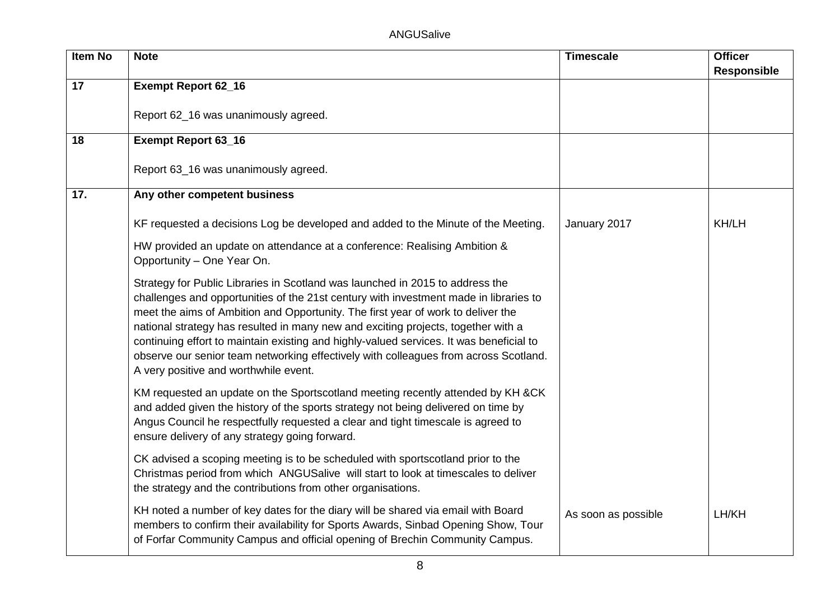| <b>Item No</b> | <b>Note</b>                                                                                                                                                                                                                                                                                                                                                                                                                                                                                                                                                                 | <b>Timescale</b>    | <b>Officer</b>     |
|----------------|-----------------------------------------------------------------------------------------------------------------------------------------------------------------------------------------------------------------------------------------------------------------------------------------------------------------------------------------------------------------------------------------------------------------------------------------------------------------------------------------------------------------------------------------------------------------------------|---------------------|--------------------|
|                |                                                                                                                                                                                                                                                                                                                                                                                                                                                                                                                                                                             |                     | <b>Responsible</b> |
| 17             | <b>Exempt Report 62_16</b>                                                                                                                                                                                                                                                                                                                                                                                                                                                                                                                                                  |                     |                    |
|                | Report 62_16 was unanimously agreed.                                                                                                                                                                                                                                                                                                                                                                                                                                                                                                                                        |                     |                    |
| 18             | <b>Exempt Report 63_16</b>                                                                                                                                                                                                                                                                                                                                                                                                                                                                                                                                                  |                     |                    |
|                | Report 63_16 was unanimously agreed.                                                                                                                                                                                                                                                                                                                                                                                                                                                                                                                                        |                     |                    |
| 17.            | Any other competent business                                                                                                                                                                                                                                                                                                                                                                                                                                                                                                                                                |                     |                    |
|                | KF requested a decisions Log be developed and added to the Minute of the Meeting.                                                                                                                                                                                                                                                                                                                                                                                                                                                                                           | January 2017        | KH/LH              |
|                | HW provided an update on attendance at a conference: Realising Ambition &<br>Opportunity - One Year On.                                                                                                                                                                                                                                                                                                                                                                                                                                                                     |                     |                    |
|                | Strategy for Public Libraries in Scotland was launched in 2015 to address the<br>challenges and opportunities of the 21st century with investment made in libraries to<br>meet the aims of Ambition and Opportunity. The first year of work to deliver the<br>national strategy has resulted in many new and exciting projects, together with a<br>continuing effort to maintain existing and highly-valued services. It was beneficial to<br>observe our senior team networking effectively with colleagues from across Scotland.<br>A very positive and worthwhile event. |                     |                    |
|                | KM requested an update on the Sportscotland meeting recently attended by KH &CK<br>and added given the history of the sports strategy not being delivered on time by<br>Angus Council he respectfully requested a clear and tight timescale is agreed to<br>ensure delivery of any strategy going forward.                                                                                                                                                                                                                                                                  |                     |                    |
|                | CK advised a scoping meeting is to be scheduled with sportscotland prior to the<br>Christmas period from which ANGUSalive will start to look at timescales to deliver<br>the strategy and the contributions from other organisations.                                                                                                                                                                                                                                                                                                                                       |                     |                    |
|                | KH noted a number of key dates for the diary will be shared via email with Board<br>members to confirm their availability for Sports Awards, Sinbad Opening Show, Tour<br>of Forfar Community Campus and official opening of Brechin Community Campus.                                                                                                                                                                                                                                                                                                                      | As soon as possible | LH/KH              |